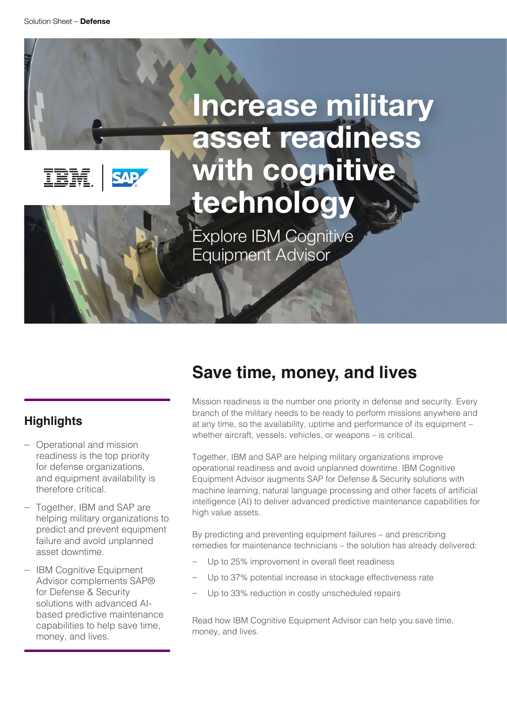IBM.

**SAP** 

# **Increase military asset readiness with cognitive technology**

Explore IBM Cognitive Equipment Advisor

### **Highlights**

- Operational and mission readiness is the top priority for defense organizations, and equipment availability is therefore critical.
- Together, IBM and SAP are helping military organizations to predict and prevent equipment failure and avoid unplanned asset downtime.
- IBM Cognitive Equipment Advisor complements SAP® for Defense & Security solutions with advanced AIbased predictive maintenance capabilities to help save time, money, and lives.

### **Save time, money, and lives**

Mission readiness is the number one priority in defense and security. Every branch of the military needs to be ready to perform missions anywhere and at any time, so the availability, uptime and performance of its equipment – whether aircraft, vessels, vehicles, or weapons – is critical.

Together, IBM and SAP are helping military organizations improve operational readiness and avoid unplanned downtime. IBM Cognitive Equipment Advisor augments SAP for Defense & Security solutions with machine learning, natural language processing and other facets of artificial intelligence (AI) to deliver advanced predictive maintenance capabilities for high value assets.

By predicting and preventing equipment failures – and prescribing remedies for maintenance technicians – the solution has already delivered:

- Up to 25% improvement in overall fleet readiness
- Up to 37% potential increase in stockage effectiveness rate
- Up to 33% reduction in costly unscheduled repairs

Read how IBM Cognitive Equipment Advisor can help you save time. money, and lives.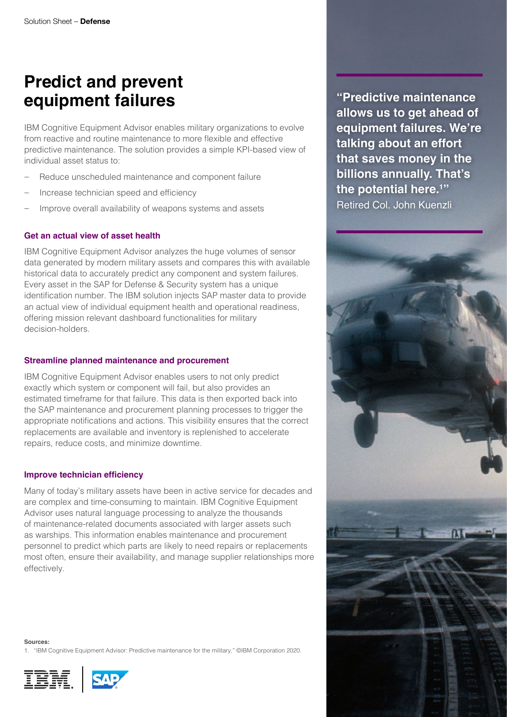### **Predict and prevent equipment failures**

IBM Cognitive Equipment Advisor enables military organizations to evolve from reactive and routine maintenance to more flexible and effective predictive maintenance. The solution provides a simple KPI-based view of individual asset status to:

- Reduce unscheduled maintenance and component failure
- Increase technician speed and efficiency
- Improve overall availability of weapons systems and assets

#### **Get an actual view of asset health**

IBM Cognitive Equipment Advisor analyzes the huge volumes of sensor data generated by modern military assets and compares this with available historical data to accurately predict any component and system failures. Every asset in the SAP for Defense & Security system has a unique identification number. The IBM solution injects SAP master data to provide an actual view of individual equipment health and operational readiness, offering mission relevant dashboard functionalities for military decision-holders.

#### **Streamline planned maintenance and procurement**

IBM Cognitive Equipment Advisor enables users to not only predict exactly which system or component will fail, but also provides an estimated timeframe for that failure. This data is then exported back into the SAP maintenance and procurement planning processes to trigger the appropriate notifications and actions. This visibility ensures that the correct replacements are available and inventory is replenished to accelerate repairs, reduce costs, and minimize downtime.

#### **Improve technician efficiency**

Many of today's military assets have been in active service for decades and are complex and time-consuming to maintain. IBM Cognitive Equipment Advisor uses natural language processing to analyze the thousands of maintenance-related documents associated with larger assets such as warships. This information enables maintenance and procurement personnel to predict which parts are likely to need repairs or replacements most often, ensure their availability, and manage supplier relationships more effectively.

1. "IBM Cognitive Equipment Advisor: Predictive maintenance for the military," ©IBM Corporation 2020.



**Sources:**



**"Predictive maintenance allows us to get ahead of equipment failures. We're talking about an effort that saves money in the billions annually. That's the potential here.1 "** Retired Col. John Kuenzli